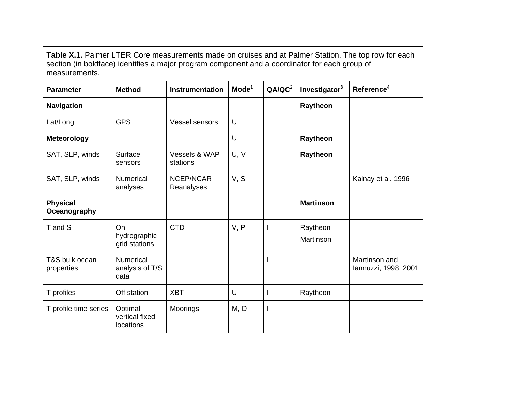**Table X.1.** Palmer LTER Core measurements made on cruises and at Palmer Station. The top row for each section (in boldface) identifies a major program component and a coordinator for each group of measurements.

| <b>Parameter</b>                | <b>Method</b>                               | <b>Instrumentation</b>    | $\mathbf{Mode}^1$ | QA/QC <sup>2</sup> | Investigator <sup>3</sup> | Reference $4$                         |
|---------------------------------|---------------------------------------------|---------------------------|-------------------|--------------------|---------------------------|---------------------------------------|
| <b>Navigation</b>               |                                             |                           |                   |                    | Raytheon                  |                                       |
| Lat/Long                        | <b>GPS</b>                                  | <b>Vessel sensors</b>     | $\cup$            |                    |                           |                                       |
| <b>Meteorology</b>              |                                             |                           | U                 |                    | Raytheon                  |                                       |
| SAT, SLP, winds                 | Surface<br>sensors                          | Vessels & WAP<br>stations | U, V              |                    | Raytheon                  |                                       |
| SAT, SLP, winds                 | <b>Numerical</b><br>analyses                | NCEP/NCAR<br>Reanalyses   | V, S              |                    |                           | Kalnay et al. 1996                    |
| <b>Physical</b><br>Oceanography |                                             |                           |                   |                    | <b>Martinson</b>          |                                       |
| T and S                         | On<br>hydrographic<br>grid stations         | <b>CTD</b>                | V, P              |                    | Raytheon<br>Martinson     |                                       |
| T&S bulk ocean<br>properties    | <b>Numerical</b><br>analysis of T/S<br>data |                           |                   |                    |                           | Martinson and<br>Iannuzzi, 1998, 2001 |
| T profiles                      | Off station                                 | <b>XBT</b>                | U                 |                    | Raytheon                  |                                       |
| T profile time series           | Optimal<br>vertical fixed<br>locations      | Moorings                  | M, D              | $\mathbf l$        |                           |                                       |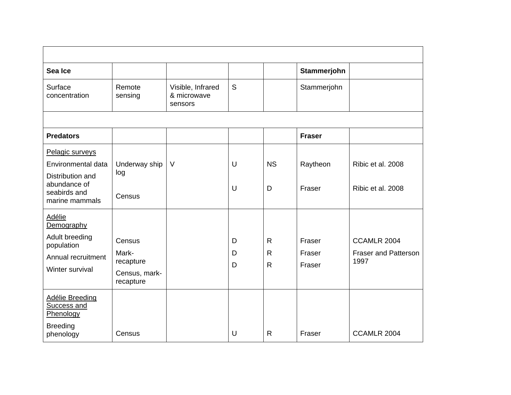| Sea Ice                                                                                                     |                                                            |                                             |             |                                    | Stammerjohn                |                                                    |
|-------------------------------------------------------------------------------------------------------------|------------------------------------------------------------|---------------------------------------------|-------------|------------------------------------|----------------------------|----------------------------------------------------|
| Surface<br>concentration                                                                                    | Remote<br>sensing                                          | Visible, Infrared<br>& microwave<br>sensors | S           |                                    | Stammerjohn                |                                                    |
|                                                                                                             |                                                            |                                             |             |                                    |                            |                                                    |
| <b>Predators</b>                                                                                            |                                                            |                                             |             |                                    | <b>Fraser</b>              |                                                    |
| Pelagic surveys<br>Environmental data<br>Distribution and<br>abundance of<br>seabirds and<br>marine mammals | Underway ship<br>log<br>Census                             | $\vee$                                      | U<br>U      | <b>NS</b><br>D                     | Raytheon<br>Fraser         | Ribic et al. 2008<br>Ribic et al. 2008             |
| <b>Adélie</b><br>Demography<br>Adult breeding<br>population<br>Annual recruitment<br>Winter survival        | Census<br>Mark-<br>recapture<br>Census, mark-<br>recapture |                                             | D<br>D<br>D | $\mathsf{R}$<br>R.<br>$\mathsf{R}$ | Fraser<br>Fraser<br>Fraser | CCAMLR 2004<br><b>Fraser and Patterson</b><br>1997 |
| <b>Adélie Breeding</b><br>Success and<br>Phenology<br><b>Breeding</b><br>phenology                          | Census                                                     |                                             | U           | $\mathsf{R}$                       | Fraser                     | CCAMLR 2004                                        |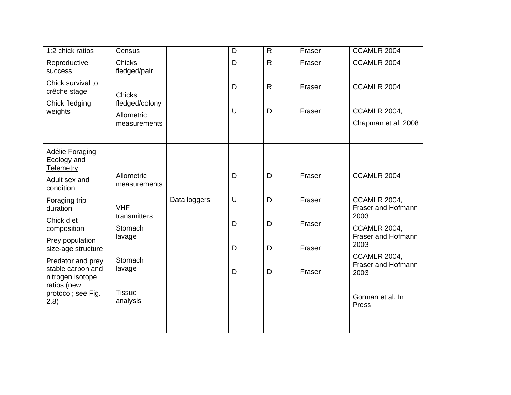| 1:2 chick ratios                                           | Census                        |              | D | $\mathsf{R}$ | Fraser | CCAMLR 2004                                       |
|------------------------------------------------------------|-------------------------------|--------------|---|--------------|--------|---------------------------------------------------|
| Reproductive<br>success                                    | <b>Chicks</b><br>fledged/pair |              | D | $\mathsf{R}$ | Fraser | CCAMLR 2004                                       |
| Chick survival to<br>crêche stage                          | <b>Chicks</b>                 |              | D | $\mathsf{R}$ | Fraser | CCAMLR 2004                                       |
| Chick fledging                                             | fledged/colony                |              |   |              |        |                                                   |
| weights                                                    | Allometric                    |              | U | D            | Fraser | <b>CCAMLR 2004,</b>                               |
|                                                            | measurements                  |              |   |              |        | Chapman et al. 2008                               |
|                                                            |                               |              |   |              |        |                                                   |
| <b>Adélie Foraging</b><br><b>Ecology and</b><br>Telemetry  |                               |              |   |              |        |                                                   |
| Adult sex and<br>condition                                 | Allometric<br>measurements    |              | D | D            | Fraser | CCAMLR 2004                                       |
| Foraging trip<br>duration                                  | <b>VHF</b><br>transmitters    | Data loggers | U | D            | Fraser | <b>CCAMLR 2004,</b><br>Fraser and Hofmann<br>2003 |
| Chick diet<br>composition                                  | Stomach                       |              | D | D            | Fraser | <b>CCAMLR 2004,</b>                               |
| Prey population                                            | lavage                        |              |   |              |        | Fraser and Hofmann                                |
| size-age structure                                         |                               |              | D | D            | Fraser | 2003                                              |
| Predator and prey<br>stable carbon and<br>nitrogen isotope | Stomach<br>lavage             |              | D | D            | Fraser | <b>CCAMLR 2004,</b><br>Fraser and Hofmann<br>2003 |
| ratios (new<br>protocol; see Fig.<br>(2.8)                 | <b>Tissue</b><br>analysis     |              |   |              |        | Gorman et al. In<br>Press                         |
|                                                            |                               |              |   |              |        |                                                   |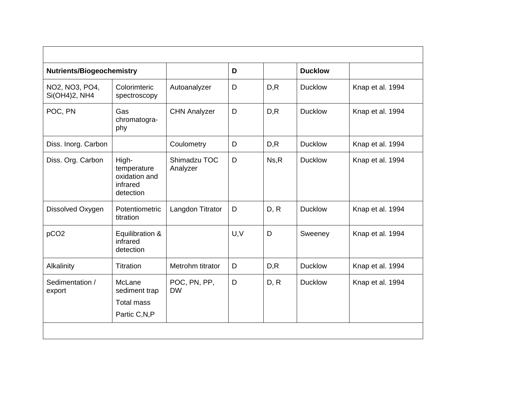| <b>Nutrients/Biogeochemistry</b> |                                                                |                           | D   |       | <b>Ducklow</b> |                  |
|----------------------------------|----------------------------------------------------------------|---------------------------|-----|-------|----------------|------------------|
| NO2, NO3, PO4,<br>Si(OH4)2, NH4  | Colorimteric<br>spectroscopy                                   | Autoanalyzer              | D   | D, R  | <b>Ducklow</b> | Knap et al. 1994 |
| POC, PN                          | Gas<br>chromatogra-<br>phy                                     | <b>CHN Analyzer</b>       | D   | D, R  | <b>Ducklow</b> | Knap et al. 1994 |
| Diss. Inorg. Carbon              |                                                                | Coulometry                | D   | D, R  | <b>Ducklow</b> | Knap et al. 1994 |
| Diss. Org. Carbon                | High-<br>temperature<br>oxidation and<br>infrared<br>detection | Shimadzu TOC<br>Analyzer  | D   | Ns, R | <b>Ducklow</b> | Knap et al. 1994 |
| Dissolved Oxygen                 | Potentiometric<br>titration                                    | Langdon Titrator          | D   | D, R  | <b>Ducklow</b> | Knap et al. 1994 |
| pCO <sub>2</sub>                 | Equilibration &<br>infrared<br>detection                       |                           | U,V | D     | Sweeney        | Knap et al. 1994 |
| Alkalinity                       | Titration                                                      | Metrohm titrator          | D   | D, R  | <b>Ducklow</b> | Knap et al. 1994 |
| Sedimentation /<br>export        | McLane<br>sediment trap<br><b>Total mass</b>                   | POC, PN, PP,<br><b>DW</b> | D   | D, R  | <b>Ducklow</b> | Knap et al. 1994 |
|                                  | Partic C,N,P                                                   |                           |     |       |                |                  |
|                                  |                                                                |                           |     |       |                |                  |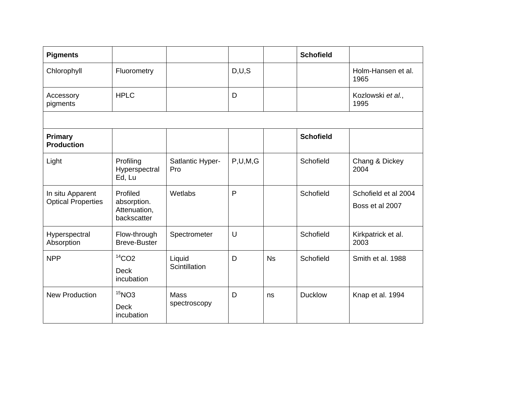| <b>Pigments</b>                               |                                                        |                             |            |    | <b>Schofield</b> |                                         |
|-----------------------------------------------|--------------------------------------------------------|-----------------------------|------------|----|------------------|-----------------------------------------|
| Chlorophyll                                   | Fluorometry                                            |                             | D,U,S      |    |                  | Holm-Hansen et al.<br>1965              |
| Accessory<br>pigments                         | <b>HPLC</b>                                            |                             | D          |    |                  | Kozlowski et al.,<br>1995               |
|                                               |                                                        |                             |            |    |                  |                                         |
| Primary<br><b>Production</b>                  |                                                        |                             |            |    | <b>Schofield</b> |                                         |
| Light                                         | Profiling<br>Hyperspectral<br>Ed, Lu                   | Satlantic Hyper-<br>Pro     | P, U, M, G |    | Schofield        | Chang & Dickey<br>2004                  |
| In situ Apparent<br><b>Optical Properties</b> | Profiled<br>absorption.<br>Attenuation,<br>backscatter | Wetlabs                     | P          |    | Schofield        | Schofield et al 2004<br>Boss et al 2007 |
| Hyperspectral<br>Absorption                   | Flow-through<br><b>Breve-Buster</b>                    | Spectrometer                | U          |    | Schofield        | Kirkpatrick et al.<br>2003              |
| <b>NPP</b>                                    | $14$ CO <sub>2</sub><br><b>Deck</b><br>incubation      | Liquid<br>Scintillation     | D          | Ns | Schofield        | Smith et al. 1988                       |
| <b>New Production</b>                         | $15$ NO3<br><b>Deck</b><br>incubation                  | <b>Mass</b><br>spectroscopy | D          | ns | <b>Ducklow</b>   | Knap et al. 1994                        |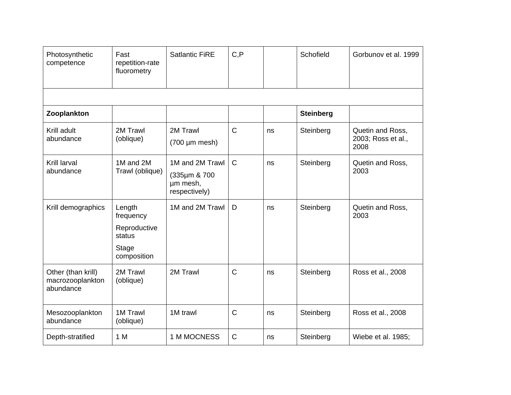| Photosynthetic<br>competence                        | Fast<br>repetition-rate<br>fluorometry                                | <b>Satlantic FiRE</b>                                        | C, P         |    | Schofield        | Gorbunov et al. 1999                           |
|-----------------------------------------------------|-----------------------------------------------------------------------|--------------------------------------------------------------|--------------|----|------------------|------------------------------------------------|
|                                                     |                                                                       |                                                              |              |    |                  |                                                |
| Zooplankton                                         |                                                                       |                                                              |              |    | <b>Steinberg</b> |                                                |
| Krill adult<br>abundance                            | 2M Trawl<br>(oblique)                                                 | 2M Trawl<br>$(700 \mu m \text{ mesh})$                       | $\mathsf{C}$ | ns | Steinberg        | Quetin and Ross,<br>2003; Ross et al.,<br>2008 |
| Krill larval<br>abundance                           | 1M and 2M<br>Trawl (oblique)                                          | 1M and 2M Trawl<br>(335µm & 700<br>µm mesh,<br>respectively) | $\mathsf{C}$ | ns | Steinberg        | Quetin and Ross,<br>2003                       |
| Krill demographics                                  | Length<br>frequency<br>Reproductive<br>status<br>Stage<br>composition | 1M and 2M Trawl                                              | D            | ns | Steinberg        | Quetin and Ross,<br>2003                       |
| Other (than krill)<br>macrozooplankton<br>abundance | 2M Trawl<br>(oblique)                                                 | 2M Trawl                                                     | $\mathsf{C}$ | ns | Steinberg        | Ross et al., 2008                              |
| Mesozooplankton<br>abundance                        | 1M Trawl<br>(oblique)                                                 | 1M trawl                                                     | $\mathsf C$  | ns | Steinberg        | Ross et al., 2008                              |
| Depth-stratified                                    | 1 M                                                                   | 1 M MOCNESS                                                  | $\mathsf{C}$ | ns | Steinberg        | Wiebe et al. 1985;                             |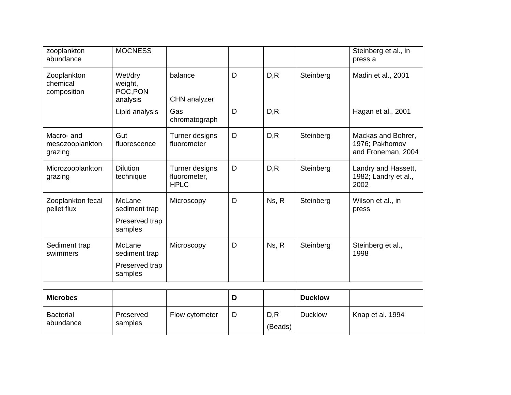| zooplankton<br>abundance                 | <b>MOCNESS</b>                                       |                                               |   |                 |                | Steinberg et al., in<br>press a                            |
|------------------------------------------|------------------------------------------------------|-----------------------------------------------|---|-----------------|----------------|------------------------------------------------------------|
| Zooplankton<br>chemical<br>composition   | Wet/dry<br>weight,<br>POC, PON<br>analysis           | balance<br>CHN analyzer                       | D | D, R            | Steinberg      | Madin et al., 2001                                         |
|                                          | Lipid analysis                                       | Gas<br>chromatograph                          | D | D, R            |                | Hagan et al., 2001                                         |
| Macro- and<br>mesozooplankton<br>grazing | Gut<br>fluorescence                                  | Turner designs<br>fluorometer                 | D | D, R            | Steinberg      | Mackas and Bohrer,<br>1976; Pakhomov<br>and Froneman, 2004 |
| Microzooplankton<br>grazing              | <b>Dilution</b><br>technique                         | Turner designs<br>fluorometer,<br><b>HPLC</b> | D | D, R            | Steinberg      | Landry and Hassett,<br>1982; Landry et al.,<br>2002        |
| Zooplankton fecal<br>pellet flux         | McLane<br>sediment trap<br>Preserved trap<br>samples | Microscopy                                    | D | Ns, R           | Steinberg      | Wilson et al., in<br>press                                 |
| Sediment trap<br>swimmers                | McLane<br>sediment trap<br>Preserved trap<br>samples | Microscopy                                    | D | Ns, R           | Steinberg      | Steinberg et al.,<br>1998                                  |
|                                          |                                                      |                                               |   |                 |                |                                                            |
| <b>Microbes</b>                          |                                                      |                                               | D |                 | <b>Ducklow</b> |                                                            |
| <b>Bacterial</b><br>abundance            | Preserved<br>samples                                 | Flow cytometer                                | D | D, R<br>(Beads) | <b>Ducklow</b> | Knap et al. 1994                                           |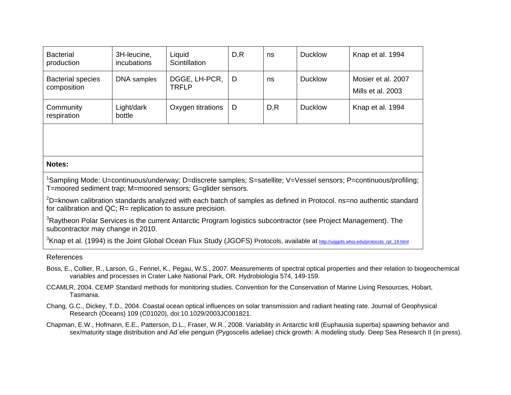| <b>Bacterial</b><br>production          | 3H-leucine,<br><i>incubations</i> | Liquid<br>Scintillation       | D, R | ns   | <b>Ducklow</b> | Knap et al. 1994                        |
|-----------------------------------------|-----------------------------------|-------------------------------|------|------|----------------|-----------------------------------------|
| <b>Bacterial species</b><br>composition | DNA samples                       | DGGE, LH-PCR,<br><b>TRFLP</b> | D    | ns   | <b>Ducklow</b> | Mosier et al. 2007<br>Mills et al. 2003 |
| Community<br>respiration                | Light/dark<br>bottle              | Oxygen titrations             | D    | D, R | <b>Ducklow</b> | Knap et al. 1994                        |
|                                         |                                   |                               |      |      |                |                                         |

## **Notes:**

<sup>1</sup>Sampling Mode: U=continuous/underway; D=discrete samples; S=satellite; V=Vessel sensors; P=continuous/profiling; T=moored sediment trap; M=moored sensors; G=glider sensors.

 $2D$ =known calibration standards analyzed with each batch of samples as defined in Protocol. ns=no authentic standard for calibration and QC; R= replication to assure precision.

<sup>3</sup>Raytheon Polar Services is the current Antarctic Program logistics subcontractor (see Project Management). The subcontractor may change in 2010.

<sup>3</sup>Knap et al. (1994) is the Joint Global Ocean Flux Study (JGOFS) Protocols, available at **http://usjgofs.whoi.edu/protocols\_rpt\_19.html** 

## References

- Boss, E., Collier, R., Larson, G., Fennel, K., Pegau, W.S., 2007. Measurements of spectral optical properties and their relation to biogeochemical variables and processes in Crater Lake National Park, OR. Hydrobiologia 574, 149-159.
- CCAMLR, 2004. CEMP Standard methods for monitoring studies. Convention for the Conservation of Marine Living Resources, Hobart, Tasmania.
- Chang, G.C., Dickey, T.D., 2004. Coastal ocean optical influences on solar transmission and radiant heating rate. Journal of Geophysical Research (Oceans) 109 (C01020), doi:10.1029/2003JC001821.
- Chapman, E.W., Hofmann, E.E., Patterson, D.L., Fraser, W.R., 2008. Variability in Antarctic krill (Euphausia superba) spawning behavior and sex/maturity stage distribution and Ad´elie penguin (Pygoscelis adeliae) chick growth: A modeling study. Deep Sea Research II (in press).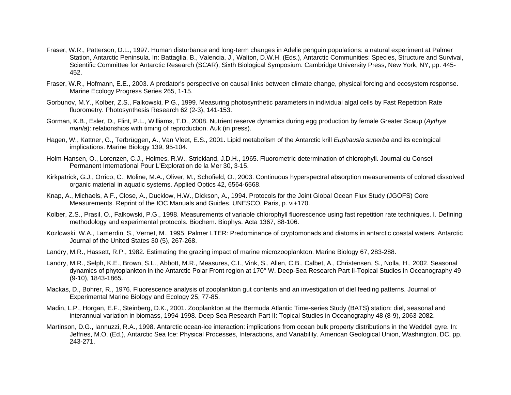- Fraser, W.R., Patterson, D.L., 1997. Human disturbance and long-term changes in Adelie penguin populations: a natural experiment at Palmer Station, Antarctic Peninsula. In: Battaglia, B., Valencia, J., Walton, D.W.H. (Eds.), Antarctic Communities: Species, Structure and Survival, Scientific Committee for Antarctic Research (SCAR), Sixth Biological Symposium. Cambridge University Press, New York, NY, pp. 445- 452.
- Fraser, W.R., Hofmann, E.E., 2003. A predator's perspective on causal links between climate change, physical forcing and ecosystem response. Marine Ecology Progress Series 265, 1-15.
- Gorbunov, M.Y., Kolber, Z.S., Falkowski, P.G., 1999. Measuring photosynthetic parameters in individual algal cells by Fast Repetition Rate fluorometry. Photosynthesis Research 62 (2-3), 141-153.
- Gorman, K.B., Esler, D., Flint, P.L., Williams, T.D., 2008. Nutrient reserve dynamics during egg production by female Greater Scaup (*Aythya marila*): relationships with timing of reproduction. Auk (in press).
- Hagen, W., Kattner, G., Terbrüggen, A., Van Vleet, E.S., 2001. Lipid metabolism of the Antarctic krill *Euphausia superba* and its ecological implications. Marine Biology 139, 95-104.
- Holm-Hansen, O., Lorenzen, C.J., Holmes, R.W., Strickland, J.D.H., 1965. Fluorometric determination of chlorophyll. Journal du Conseil Permanent International Pour L'Exploration de la Mer 30, 3-15.
- Kirkpatrick, G.J., Orrico, C., Moline, M.A., Oliver, M., Schofield, O., 2003. Continuous hyperspectral absorption measurements of colored dissolved organic material in aquatic systems. Applied Optics 42, 6564-6568.
- Knap, A., Michaels, A.F., Close, A., Ducklow, H.W., Dickson, A., 1994. Protocols for the Joint Global Ocean Flux Study (JGOFS) Core Measurements. Reprint of the IOC Manuals and Guides. UNESCO, Paris, p. vi+170.
- Kolber, Z.S., Prasil, O., Falkowski, P.G., 1998. Measurements of variable chlorophyll fluorescence using fast repetition rate techniques. I. Defining methodology and experimental protocols. Biochem. Biophys. Acta 1367, 88-106.
- Kozlowski, W.A., Lamerdin, S., Vernet, M., 1995. Palmer LTER: Predominance of cryptomonads and diatoms in antarctic coastal waters. Antarctic Journal of the United States 30 (5), 267-268.
- Landry, M.R., Hassett, R.P., 1982. Estimating the grazing impact of marine microzooplankton. Marine Biology 67, 283-288.
- Landry, M.R., Selph, K.E., Brown, S.L., Abbott, M.R., Measures, C.I., Vink, S., Allen, C.B., Calbet, A., Christensen, S., Nolla, H., 2002. Seasonal dynamics of phytoplankton in the Antarctic Polar Front region at 170° W. Deep-Sea Research Part Ii-Topical Studies in Oceanography 49 (9-10), 1843-1865.
- Mackas, D., Bohrer, R., 1976. Fluorescence analysis of zooplankton gut contents and an investigation of diel feeding patterns. Journal of Experimental Marine Biology and Ecology 25, 77-85.
- Madin, L.P., Horgan, E.F., Steinberg, D.K., 2001. Zooplankton at the Bermuda Atlantic Time-series Study (BATS) station: diel, seasonal and interannual variation in biomass, 1994-1998. Deep Sea Research Part II: Topical Studies in Oceanography 48 (8-9), 2063-2082.
- Martinson, D.G., Iannuzzi, R.A., 1998. Antarctic ocean-ice interaction: implications from ocean bulk property distributions in the Weddell gyre. In: Jeffries, M.O. (Ed.), Antarctic Sea Ice: Physical Processes, Interactions, and Variability. American Geological Union, Washington, DC, pp. 243-271.